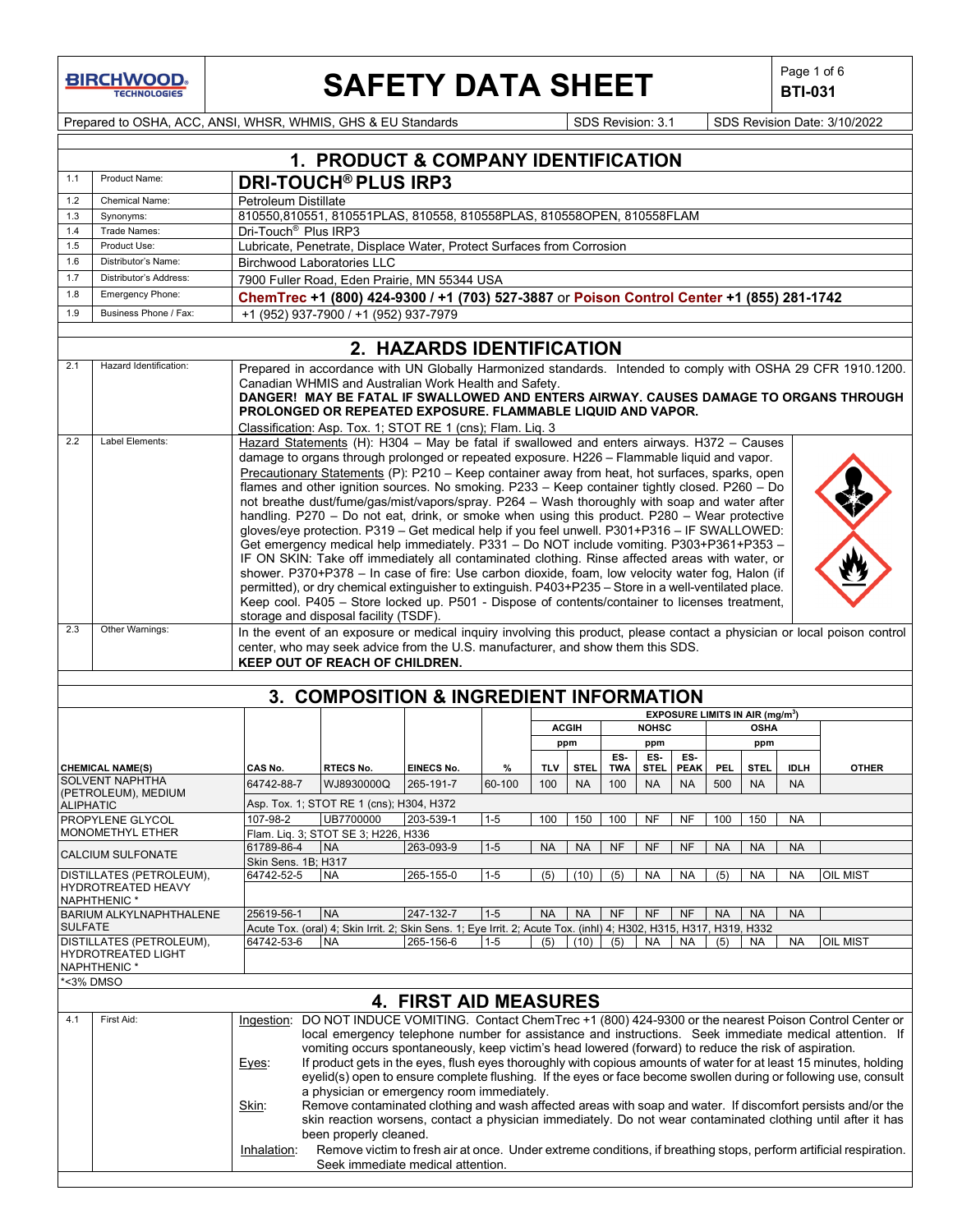**BIRCHWOOD** 

 $\mathbf{I}$ 

# **SAFETY DATA SHEET**  $\left|\begin{array}{c} \text{Page 1 of 6} \\ \text{BIT-031} \end{array}\right|$

**BTI-031**

Prepared to OSHA, ACC, ANSI, WHSR, WHMIS, GHS & EU Standards Superiority SDS Revision: 3.1 SDS Revision Date: 3/10/2022

|                  |                                     |                                                                                                                                                                                                                                                                                                                                                                                                                                                                                                                                                                                                                                                                                                                                                                                                                                                                                                                                                                                                                                                                                                                                                                                                             | 1. PRODUCT & COMPANY IDENTIFICATION                                                                                                                                                       |                              |         |            |              |            |              |             |                       |                                             |             |                                                                                                                                                                                                                                                                                                                                                                                                                                                                                                                                                                                |
|------------------|-------------------------------------|-------------------------------------------------------------------------------------------------------------------------------------------------------------------------------------------------------------------------------------------------------------------------------------------------------------------------------------------------------------------------------------------------------------------------------------------------------------------------------------------------------------------------------------------------------------------------------------------------------------------------------------------------------------------------------------------------------------------------------------------------------------------------------------------------------------------------------------------------------------------------------------------------------------------------------------------------------------------------------------------------------------------------------------------------------------------------------------------------------------------------------------------------------------------------------------------------------------|-------------------------------------------------------------------------------------------------------------------------------------------------------------------------------------------|------------------------------|---------|------------|--------------|------------|--------------|-------------|-----------------------|---------------------------------------------|-------------|--------------------------------------------------------------------------------------------------------------------------------------------------------------------------------------------------------------------------------------------------------------------------------------------------------------------------------------------------------------------------------------------------------------------------------------------------------------------------------------------------------------------------------------------------------------------------------|
| 1.1              | Product Name:                       |                                                                                                                                                                                                                                                                                                                                                                                                                                                                                                                                                                                                                                                                                                                                                                                                                                                                                                                                                                                                                                                                                                                                                                                                             | <b>DRI-TOUCH<sup>®</sup> PLUS IRP3</b>                                                                                                                                                    |                              |         |            |              |            |              |             |                       |                                             |             |                                                                                                                                                                                                                                                                                                                                                                                                                                                                                                                                                                                |
| 1.2              | <b>Chemical Name:</b>               | Petroleum Distillate                                                                                                                                                                                                                                                                                                                                                                                                                                                                                                                                                                                                                                                                                                                                                                                                                                                                                                                                                                                                                                                                                                                                                                                        |                                                                                                                                                                                           |                              |         |            |              |            |              |             |                       |                                             |             |                                                                                                                                                                                                                                                                                                                                                                                                                                                                                                                                                                                |
| 1.3              | Synonyms:                           |                                                                                                                                                                                                                                                                                                                                                                                                                                                                                                                                                                                                                                                                                                                                                                                                                                                                                                                                                                                                                                                                                                                                                                                                             | 810550,810551, 810551PLAS, 810558, 810558PLAS, 810558OPEN, 810558FLAM                                                                                                                     |                              |         |            |              |            |              |             |                       |                                             |             |                                                                                                                                                                                                                                                                                                                                                                                                                                                                                                                                                                                |
| 1.4              | Trade Names:                        | Dri-Touch <sup>®</sup> Plus IRP3                                                                                                                                                                                                                                                                                                                                                                                                                                                                                                                                                                                                                                                                                                                                                                                                                                                                                                                                                                                                                                                                                                                                                                            |                                                                                                                                                                                           |                              |         |            |              |            |              |             |                       |                                             |             |                                                                                                                                                                                                                                                                                                                                                                                                                                                                                                                                                                                |
| 1.5<br>1.6       | Product Use:<br>Distributor's Name: | Lubricate, Penetrate, Displace Water, Protect Surfaces from Corrosion                                                                                                                                                                                                                                                                                                                                                                                                                                                                                                                                                                                                                                                                                                                                                                                                                                                                                                                                                                                                                                                                                                                                       |                                                                                                                                                                                           |                              |         |            |              |            |              |             |                       |                                             |             |                                                                                                                                                                                                                                                                                                                                                                                                                                                                                                                                                                                |
| 1.7              | Distributor's Address:              | <b>Birchwood Laboratories LLC</b>                                                                                                                                                                                                                                                                                                                                                                                                                                                                                                                                                                                                                                                                                                                                                                                                                                                                                                                                                                                                                                                                                                                                                                           |                                                                                                                                                                                           |                              |         |            |              |            |              |             |                       |                                             |             |                                                                                                                                                                                                                                                                                                                                                                                                                                                                                                                                                                                |
| 1.8              | Emergency Phone:                    | 7900 Fuller Road, Eden Prairie, MN 55344 USA<br>ChemTrec +1 (800) 424-9300 / +1 (703) 527-3887 or Poison Control Center +1 (855) 281-1742                                                                                                                                                                                                                                                                                                                                                                                                                                                                                                                                                                                                                                                                                                                                                                                                                                                                                                                                                                                                                                                                   |                                                                                                                                                                                           |                              |         |            |              |            |              |             |                       |                                             |             |                                                                                                                                                                                                                                                                                                                                                                                                                                                                                                                                                                                |
| 1.9              | Business Phone / Fax:               |                                                                                                                                                                                                                                                                                                                                                                                                                                                                                                                                                                                                                                                                                                                                                                                                                                                                                                                                                                                                                                                                                                                                                                                                             |                                                                                                                                                                                           |                              |         |            |              |            |              |             |                       |                                             |             |                                                                                                                                                                                                                                                                                                                                                                                                                                                                                                                                                                                |
|                  |                                     |                                                                                                                                                                                                                                                                                                                                                                                                                                                                                                                                                                                                                                                                                                                                                                                                                                                                                                                                                                                                                                                                                                                                                                                                             | +1 (952) 937-7900 / +1 (952) 937-7979                                                                                                                                                     |                              |         |            |              |            |              |             |                       |                                             |             |                                                                                                                                                                                                                                                                                                                                                                                                                                                                                                                                                                                |
|                  |                                     |                                                                                                                                                                                                                                                                                                                                                                                                                                                                                                                                                                                                                                                                                                                                                                                                                                                                                                                                                                                                                                                                                                                                                                                                             |                                                                                                                                                                                           | 2. HAZARDS IDENTIFICATION    |         |            |              |            |              |             |                       |                                             |             |                                                                                                                                                                                                                                                                                                                                                                                                                                                                                                                                                                                |
| 2.1              | Hazard Identification:              |                                                                                                                                                                                                                                                                                                                                                                                                                                                                                                                                                                                                                                                                                                                                                                                                                                                                                                                                                                                                                                                                                                                                                                                                             | Canadian WHMIS and Australian Work Health and Safety.<br><b>PROLONGED OR REPEATED EXPOSURE. FLAMMABLE LIQUID AND VAPOR.</b><br>Classification: Asp. Tox. 1; STOT RE 1 (cns); Flam. Liq. 3 |                              |         |            |              |            |              |             |                       |                                             |             | Prepared in accordance with UN Globally Harmonized standards. Intended to comply with OSHA 29 CFR 1910.1200.<br>DANGER! MAY BE FATAL IF SWALLOWED AND ENTERS AIRWAY. CAUSES DAMAGE TO ORGANS THROUGH                                                                                                                                                                                                                                                                                                                                                                           |
| 2.2              | Label Elements:                     | Hazard Statements (H): H304 - May be fatal if swallowed and enters airways. H372 - Causes<br>damage to organs through prolonged or repeated exposure. H226 - Flammable liquid and vapor.<br>Precautionary Statements (P): P210 - Keep container away from heat, hot surfaces, sparks, open<br>flames and other ignition sources. No smoking. P233 - Keep container tightly closed. P260 - Do<br>not breathe dust/fume/gas/mist/vapors/spray. P264 - Wash thoroughly with soap and water after<br>handling. P270 - Do not eat, drink, or smoke when using this product. P280 - Wear protective<br>gloves/eye protection. P319 - Get medical help if you feel unwell. P301+P316 - IF SWALLOWED:<br>Get emergency medical help immediately. P331 - Do NOT include vomiting. P303+P361+P353 -<br>IF ON SKIN: Take off immediately all contaminated clothing. Rinse affected areas with water, or<br>shower. P370+P378 - In case of fire: Use carbon dioxide, foam, low velocity water fog, Halon (if<br>permitted), or dry chemical extinguisher to extinguish. P403+P235 - Store in a well-ventilated place.<br>Keep cool. P405 - Store locked up. P501 - Dispose of contents/container to licenses treatment, |                                                                                                                                                                                           |                              |         |            |              |            |              |             |                       |                                             |             |                                                                                                                                                                                                                                                                                                                                                                                                                                                                                                                                                                                |
| 2.3              | Other Warnings:                     |                                                                                                                                                                                                                                                                                                                                                                                                                                                                                                                                                                                                                                                                                                                                                                                                                                                                                                                                                                                                                                                                                                                                                                                                             | storage and disposal facility (TSDF).                                                                                                                                                     |                              |         |            |              |            |              |             |                       |                                             |             | In the event of an exposure or medical inquiry involving this product, please contact a physician or local poison control                                                                                                                                                                                                                                                                                                                                                                                                                                                      |
|                  |                                     |                                                                                                                                                                                                                                                                                                                                                                                                                                                                                                                                                                                                                                                                                                                                                                                                                                                                                                                                                                                                                                                                                                                                                                                                             | center, who may seek advice from the U.S. manufacturer, and show them this SDS.<br>KEEP OUT OF REACH OF CHILDREN.                                                                         |                              |         |            |              |            |              |             |                       |                                             |             |                                                                                                                                                                                                                                                                                                                                                                                                                                                                                                                                                                                |
|                  |                                     |                                                                                                                                                                                                                                                                                                                                                                                                                                                                                                                                                                                                                                                                                                                                                                                                                                                                                                                                                                                                                                                                                                                                                                                                             |                                                                                                                                                                                           |                              |         |            |              |            |              |             |                       |                                             |             |                                                                                                                                                                                                                                                                                                                                                                                                                                                                                                                                                                                |
|                  |                                     |                                                                                                                                                                                                                                                                                                                                                                                                                                                                                                                                                                                                                                                                                                                                                                                                                                                                                                                                                                                                                                                                                                                                                                                                             | 3. COMPOSITION & INGREDIENT INFORMATION                                                                                                                                                   |                              |         |            |              |            |              |             |                       |                                             |             |                                                                                                                                                                                                                                                                                                                                                                                                                                                                                                                                                                                |
|                  |                                     |                                                                                                                                                                                                                                                                                                                                                                                                                                                                                                                                                                                                                                                                                                                                                                                                                                                                                                                                                                                                                                                                                                                                                                                                             |                                                                                                                                                                                           |                              |         |            |              |            |              |             |                       | EXPOSURE LIMITS IN AIR (mg/m <sup>3</sup> ) |             |                                                                                                                                                                                                                                                                                                                                                                                                                                                                                                                                                                                |
|                  |                                     |                                                                                                                                                                                                                                                                                                                                                                                                                                                                                                                                                                                                                                                                                                                                                                                                                                                                                                                                                                                                                                                                                                                                                                                                             |                                                                                                                                                                                           |                              |         |            | <b>ACGIH</b> |            | <b>NOHSC</b> |             |                       | <b>OSHA</b>                                 |             |                                                                                                                                                                                                                                                                                                                                                                                                                                                                                                                                                                                |
|                  |                                     |                                                                                                                                                                                                                                                                                                                                                                                                                                                                                                                                                                                                                                                                                                                                                                                                                                                                                                                                                                                                                                                                                                                                                                                                             |                                                                                                                                                                                           |                              |         |            | ppm          | ES-        | ppm<br>ES-   | ES-         |                       | ppm                                         |             |                                                                                                                                                                                                                                                                                                                                                                                                                                                                                                                                                                                |
|                  | <b>CHEMICAL NAME(S)</b>             | CAS No.                                                                                                                                                                                                                                                                                                                                                                                                                                                                                                                                                                                                                                                                                                                                                                                                                                                                                                                                                                                                                                                                                                                                                                                                     | <b>RTECS No.</b>                                                                                                                                                                          | <b>EINECS No.</b>            | %       | <b>TLV</b> | <b>STEL</b>  | <b>TWA</b> | <b>STEL</b>  | <b>PEAK</b> | <b>PEL</b>            | <b>STEL</b>                                 | <b>IDLH</b> | <b>OTHER</b>                                                                                                                                                                                                                                                                                                                                                                                                                                                                                                                                                                   |
|                  | <b>SOLVENT NAPHTHA</b>              | 64742-88-7                                                                                                                                                                                                                                                                                                                                                                                                                                                                                                                                                                                                                                                                                                                                                                                                                                                                                                                                                                                                                                                                                                                                                                                                  | WJ8930000Q                                                                                                                                                                                | 265-191-7                    | 60-100  | 100        | <b>NA</b>    | 100        | <b>NA</b>    | <b>NA</b>   | 500                   | <b>NA</b>                                   | <b>NA</b>   |                                                                                                                                                                                                                                                                                                                                                                                                                                                                                                                                                                                |
| <b>ALIPHATIC</b> | (PETROLEUM), MEDIUM                 |                                                                                                                                                                                                                                                                                                                                                                                                                                                                                                                                                                                                                                                                                                                                                                                                                                                                                                                                                                                                                                                                                                                                                                                                             | Asp. Tox. 1; STOT RE 1 (cns); H304, H372                                                                                                                                                  |                              |         |            |              |            |              |             |                       |                                             |             |                                                                                                                                                                                                                                                                                                                                                                                                                                                                                                                                                                                |
|                  | PROPYLENE GLYCOL                    | 107-98-2                                                                                                                                                                                                                                                                                                                                                                                                                                                                                                                                                                                                                                                                                                                                                                                                                                                                                                                                                                                                                                                                                                                                                                                                    | UB7700000                                                                                                                                                                                 | 203-539-1                    | $1-5$   | 100        | 150          | 100        | <b>NF</b>    | <b>NF</b>   | 100                   | 150                                         | NA          |                                                                                                                                                                                                                                                                                                                                                                                                                                                                                                                                                                                |
|                  | <b>MONOMETHYL ETHER</b>             |                                                                                                                                                                                                                                                                                                                                                                                                                                                                                                                                                                                                                                                                                                                                                                                                                                                                                                                                                                                                                                                                                                                                                                                                             | Flam. Liq. 3; STOT SE 3; H226, H336                                                                                                                                                       |                              |         |            |              |            |              |             |                       |                                             |             |                                                                                                                                                                                                                                                                                                                                                                                                                                                                                                                                                                                |
|                  | CALCIUM SULFONATE                   | 61789-86-4                                                                                                                                                                                                                                                                                                                                                                                                                                                                                                                                                                                                                                                                                                                                                                                                                                                                                                                                                                                                                                                                                                                                                                                                  | <b>NA</b>                                                                                                                                                                                 | 263-093-9                    | $1 - 5$ | NA         | <b>NA</b>    | NF         | NF           | NF          | $\overline{\big }$ NA | <b>NA</b>                                   | <b>NA</b>   |                                                                                                                                                                                                                                                                                                                                                                                                                                                                                                                                                                                |
|                  | DISTILLATES (PETROLEUM),            | Skin Sens. 1B; H317<br>64742-52-5                                                                                                                                                                                                                                                                                                                                                                                                                                                                                                                                                                                                                                                                                                                                                                                                                                                                                                                                                                                                                                                                                                                                                                           | <b>NA</b>                                                                                                                                                                                 | 265-155-0                    | $1 - 5$ | (5)        | (10)         | (5)        | <b>NA</b>    | <b>NA</b>   | (5)                   | NA                                          | <b>NA</b>   | OIL MIST                                                                                                                                                                                                                                                                                                                                                                                                                                                                                                                                                                       |
|                  | HYDROTREATED HEAVY                  |                                                                                                                                                                                                                                                                                                                                                                                                                                                                                                                                                                                                                                                                                                                                                                                                                                                                                                                                                                                                                                                                                                                                                                                                             |                                                                                                                                                                                           |                              |         |            |              |            |              |             |                       |                                             |             |                                                                                                                                                                                                                                                                                                                                                                                                                                                                                                                                                                                |
|                  | NAPHTHENIC *                        |                                                                                                                                                                                                                                                                                                                                                                                                                                                                                                                                                                                                                                                                                                                                                                                                                                                                                                                                                                                                                                                                                                                                                                                                             |                                                                                                                                                                                           |                              |         |            |              |            |              |             |                       |                                             |             |                                                                                                                                                                                                                                                                                                                                                                                                                                                                                                                                                                                |
| <b>SULFATE</b>   | BARIUM ALKYLNAPHTHALENE             | 25619-56-1                                                                                                                                                                                                                                                                                                                                                                                                                                                                                                                                                                                                                                                                                                                                                                                                                                                                                                                                                                                                                                                                                                                                                                                                  | <b>NA</b><br>Acute Tox. (oral) 4; Skin Irrit. 2; Skin Sens. 1; Eye Irrit. 2; Acute Tox. (inhl) 4; H302, H315, H317, H319, H332                                                            | 247-132-7                    | $1 - 5$ | <b>NA</b>  | <b>NA</b>    | <b>NF</b>  | <b>NF</b>    | <b>NF</b>   | <b>NA</b>             | <b>NA</b>                                   | <b>NA</b>   |                                                                                                                                                                                                                                                                                                                                                                                                                                                                                                                                                                                |
|                  | DISTILLATES (PETROLEUM),            | 64742-53-6                                                                                                                                                                                                                                                                                                                                                                                                                                                                                                                                                                                                                                                                                                                                                                                                                                                                                                                                                                                                                                                                                                                                                                                                  | <b>NA</b>                                                                                                                                                                                 | 265-156-6                    | $1 - 5$ | (5)        | (10)         | (5)        | NA.          | NA.         | (5)                   | <b>NA</b>                                   | <b>NA</b>   | OIL MIST                                                                                                                                                                                                                                                                                                                                                                                                                                                                                                                                                                       |
|                  | <b>HYDROTREATED LIGHT</b>           |                                                                                                                                                                                                                                                                                                                                                                                                                                                                                                                                                                                                                                                                                                                                                                                                                                                                                                                                                                                                                                                                                                                                                                                                             |                                                                                                                                                                                           |                              |         |            |              |            |              |             |                       |                                             |             |                                                                                                                                                                                                                                                                                                                                                                                                                                                                                                                                                                                |
|                  | <b>NAPHTHENIC *</b>                 |                                                                                                                                                                                                                                                                                                                                                                                                                                                                                                                                                                                                                                                                                                                                                                                                                                                                                                                                                                                                                                                                                                                                                                                                             |                                                                                                                                                                                           |                              |         |            |              |            |              |             |                       |                                             |             |                                                                                                                                                                                                                                                                                                                                                                                                                                                                                                                                                                                |
|                  | <b>&lt;3% DMSO</b>                  |                                                                                                                                                                                                                                                                                                                                                                                                                                                                                                                                                                                                                                                                                                                                                                                                                                                                                                                                                                                                                                                                                                                                                                                                             |                                                                                                                                                                                           |                              |         |            |              |            |              |             |                       |                                             |             |                                                                                                                                                                                                                                                                                                                                                                                                                                                                                                                                                                                |
|                  |                                     |                                                                                                                                                                                                                                                                                                                                                                                                                                                                                                                                                                                                                                                                                                                                                                                                                                                                                                                                                                                                                                                                                                                                                                                                             |                                                                                                                                                                                           | <b>4. FIRST AID MEASURES</b> |         |            |              |            |              |             |                       |                                             |             |                                                                                                                                                                                                                                                                                                                                                                                                                                                                                                                                                                                |
| 4.1              | First Aid:                          | Eyes:<br>Skin:                                                                                                                                                                                                                                                                                                                                                                                                                                                                                                                                                                                                                                                                                                                                                                                                                                                                                                                                                                                                                                                                                                                                                                                              | vomiting occurs spontaneously, keep victim's head lowered (forward) to reduce the risk of aspiration.<br>a physician or emergency room immediately.                                       |                              |         |            |              |            |              |             |                       |                                             |             | Ingestion: DO NOT INDUCE VOMITING. Contact ChemTrec +1 (800) 424-9300 or the nearest Poison Control Center or<br>local emergency telephone number for assistance and instructions. Seek immediate medical attention. If<br>If product gets in the eyes, flush eyes thoroughly with copious amounts of water for at least 15 minutes, holding<br>eyelid(s) open to ensure complete flushing. If the eyes or face become swollen during or following use, consult<br>Remove contaminated clothing and wash affected areas with soap and water. If discomfort persists and/or the |
|                  |                                     | Inhalation:                                                                                                                                                                                                                                                                                                                                                                                                                                                                                                                                                                                                                                                                                                                                                                                                                                                                                                                                                                                                                                                                                                                                                                                                 | been properly cleaned.<br>Seek immediate medical attention.                                                                                                                               |                              |         |            |              |            |              |             |                       |                                             |             | skin reaction worsens, contact a physician immediately. Do not wear contaminated clothing until after it has<br>Remove victim to fresh air at once. Under extreme conditions, if breathing stops, perform artificial respiration.                                                                                                                                                                                                                                                                                                                                              |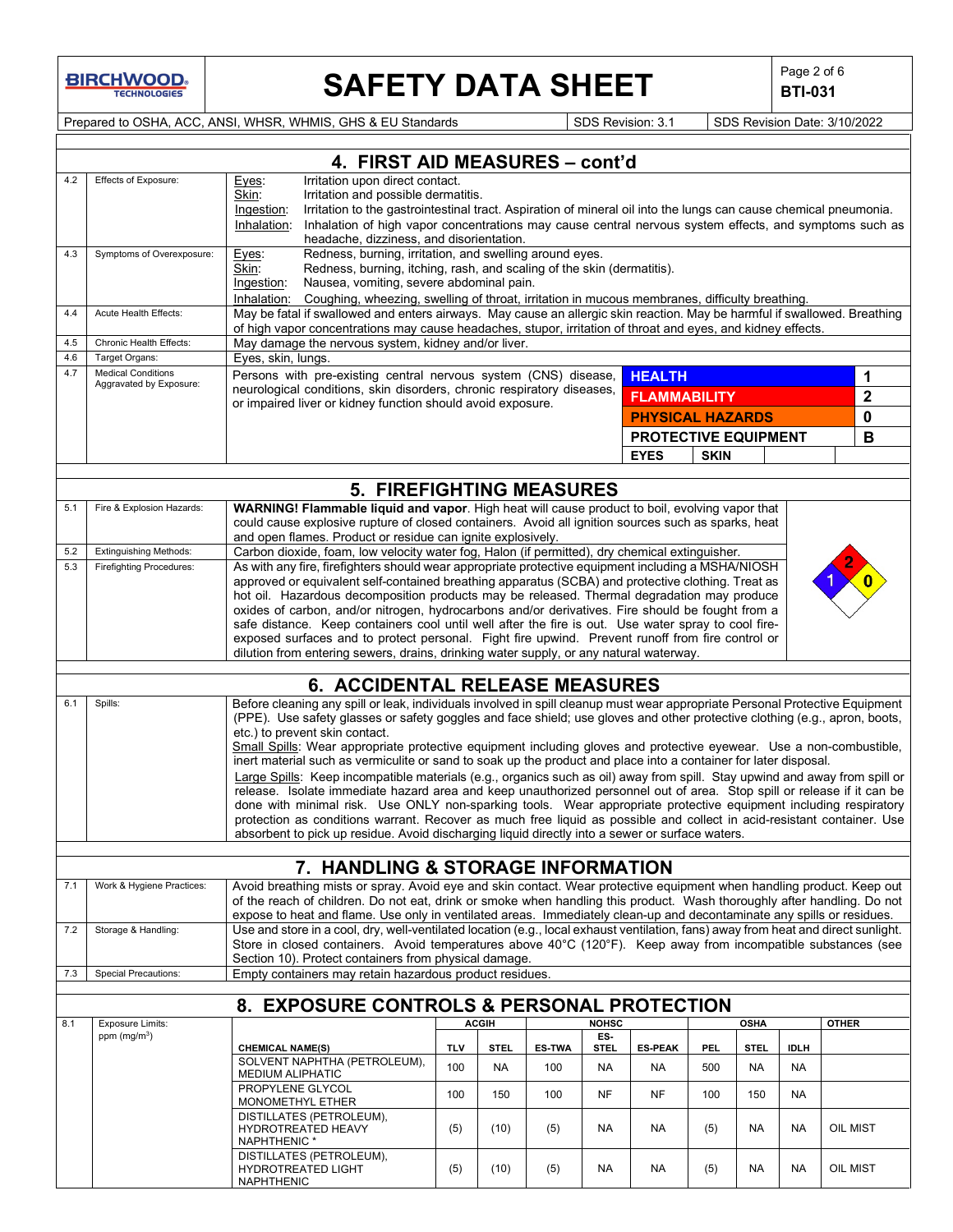**BIRCHWOOD** 

# **SAFETY DATA SHEET**  $\left|\begin{array}{c} \text{Page 2 of 6} \\ \text{BIT-031} \end{array}\right|$

**BTI-031**

Prepared to OSHA, ACC, ANSI, WHSR, WHMIS, GHS & EU Standards Superiorism: 3.1 SDS Revision: 3.1 SDS Revision Date: 3/10/2022

|            |                                                      | 4. FIRST AID MEASURES - cont'd                                                                                                                                                                                                             |                                                                                                                                                                     |               |               |                    |                             |             |             |             |              |
|------------|------------------------------------------------------|--------------------------------------------------------------------------------------------------------------------------------------------------------------------------------------------------------------------------------------------|---------------------------------------------------------------------------------------------------------------------------------------------------------------------|---------------|---------------|--------------------|-----------------------------|-------------|-------------|-------------|--------------|
| 4.2        | Effects of Exposure:                                 | Irritation upon direct contact.<br>Eyes:                                                                                                                                                                                                   |                                                                                                                                                                     |               |               |                    |                             |             |             |             |              |
|            |                                                      | Skin:<br>Irritation and possible dermatitis.<br>Irritation to the gastrointestinal tract. Aspiration of mineral oil into the lungs can cause chemical pneumonia.<br>Ingestion:                                                             |                                                                                                                                                                     |               |               |                    |                             |             |             |             |              |
|            |                                                      | Inhalation:<br>Inhalation of high vapor concentrations may cause central nervous system effects, and symptoms such as                                                                                                                      |                                                                                                                                                                     |               |               |                    |                             |             |             |             |              |
|            |                                                      | headache, dizziness, and disorientation.                                                                                                                                                                                                   |                                                                                                                                                                     |               |               |                    |                             |             |             |             |              |
| 4.3        | Symptoms of Overexposure:                            | Redness, burning, irritation, and swelling around eyes.<br>Eyes:                                                                                                                                                                           |                                                                                                                                                                     |               |               |                    |                             |             |             |             |              |
|            |                                                      | Skin:<br>Redness, burning, itching, rash, and scaling of the skin (dermatitis).                                                                                                                                                            |                                                                                                                                                                     |               |               |                    |                             |             |             |             |              |
|            |                                                      | Nausea, vomiting, severe abdominal pain.<br>Ingestion:                                                                                                                                                                                     |                                                                                                                                                                     |               |               |                    |                             |             |             |             |              |
| 4.4        | Acute Health Effects:                                | Inhalation:<br>Coughing, wheezing, swelling of throat, irritation in mucous membranes, difficulty breathing.<br>May be fatal if swallowed and enters airways. May cause an allergic skin reaction. May be harmful if swallowed. Breathing  |                                                                                                                                                                     |               |               |                    |                             |             |             |             |              |
|            |                                                      |                                                                                                                                                                                                                                            |                                                                                                                                                                     |               |               |                    |                             |             |             |             |              |
| 4.5        | Chronic Health Effects:                              |                                                                                                                                                                                                                                            | of high vapor concentrations may cause headaches, stupor, irritation of throat and eyes, and kidney effects.<br>May damage the nervous system, kidney and/or liver. |               |               |                    |                             |             |             |             |              |
| 4.6        | Target Organs:                                       | Eyes, skin, lungs.                                                                                                                                                                                                                         |                                                                                                                                                                     |               |               |                    |                             |             |             |             |              |
| 4.7        | <b>Medical Conditions</b><br>Aggravated by Exposure: | Persons with pre-existing central nervous system (CNS) disease,                                                                                                                                                                            |                                                                                                                                                                     |               |               |                    | <b>HEALTH</b>               |             |             |             | 1            |
|            |                                                      | neurological conditions, skin disorders, chronic respiratory diseases,                                                                                                                                                                     |                                                                                                                                                                     |               |               |                    | <b>FLAMMABILITY</b>         |             |             |             | 2            |
|            |                                                      | or impaired liver or kidney function should avoid exposure.                                                                                                                                                                                |                                                                                                                                                                     |               |               |                    | <b>PHYSICAL HAZARDS</b>     |             |             |             | 0            |
|            |                                                      |                                                                                                                                                                                                                                            |                                                                                                                                                                     |               |               |                    |                             |             |             |             | в            |
|            |                                                      |                                                                                                                                                                                                                                            |                                                                                                                                                                     |               |               |                    | <b>PROTECTIVE EQUIPMENT</b> |             |             |             |              |
|            |                                                      |                                                                                                                                                                                                                                            |                                                                                                                                                                     |               |               |                    | <b>EYES</b>                 | <b>SKIN</b> |             |             |              |
|            |                                                      | <b>5. FIREFIGHTING MEASURES</b>                                                                                                                                                                                                            |                                                                                                                                                                     |               |               |                    |                             |             |             |             |              |
| 5.1        | Fire & Explosion Hazards:                            | <b>WARNING! Flammable liquid and vapor.</b> High heat will cause product to boil, evolving vapor that                                                                                                                                      |                                                                                                                                                                     |               |               |                    |                             |             |             |             |              |
|            |                                                      | could cause explosive rupture of closed containers. Avoid all ignition sources such as sparks, heat                                                                                                                                        |                                                                                                                                                                     |               |               |                    |                             |             |             |             |              |
|            |                                                      | and open flames. Product or residue can ignite explosively.                                                                                                                                                                                |                                                                                                                                                                     |               |               |                    |                             |             |             |             |              |
| 5.2        | <b>Extinguishing Methods:</b>                        | Carbon dioxide, foam, low velocity water fog, Halon (if permitted), dry chemical extinguisher.                                                                                                                                             |                                                                                                                                                                     |               |               |                    |                             |             |             |             |              |
| 5.3        | <b>Firefighting Procedures:</b>                      | As with any fire, firefighters should wear appropriate protective equipment including a MSHA/NIOSH                                                                                                                                         |                                                                                                                                                                     |               |               |                    |                             |             |             |             |              |
|            |                                                      | approved or equivalent self-contained breathing apparatus (SCBA) and protective clothing. Treat as                                                                                                                                         |                                                                                                                                                                     |               |               |                    |                             |             |             |             |              |
|            |                                                      | hot oil. Hazardous decomposition products may be released. Thermal degradation may produce                                                                                                                                                 |                                                                                                                                                                     |               |               |                    |                             |             |             |             |              |
|            |                                                      | oxides of carbon, and/or nitrogen, hydrocarbons and/or derivatives. Fire should be fought from a<br>safe distance. Keep containers cool until well after the fire is out. Use water spray to cool fire-                                    |                                                                                                                                                                     |               |               |                    |                             |             |             |             |              |
|            |                                                      | exposed surfaces and to protect personal. Fight fire upwind. Prevent runoff from fire control or                                                                                                                                           |                                                                                                                                                                     |               |               |                    |                             |             |             |             |              |
|            |                                                      | dilution from entering sewers, drains, drinking water supply, or any natural waterway.                                                                                                                                                     |                                                                                                                                                                     |               |               |                    |                             |             |             |             |              |
|            |                                                      |                                                                                                                                                                                                                                            |                                                                                                                                                                     |               |               |                    |                             |             |             |             |              |
| 6.1        | Spills:                                              | <b>6. ACCIDENTAL RELEASE MEASURES</b><br>Before cleaning any spill or leak, individuals involved in spill cleanup must wear appropriate Personal Protective Equipment                                                                      |                                                                                                                                                                     |               |               |                    |                             |             |             |             |              |
|            |                                                      | (PPE). Use safety glasses or safety goggles and face shield; use gloves and other protective clothing (e.g., apron, boots,                                                                                                                 |                                                                                                                                                                     |               |               |                    |                             |             |             |             |              |
|            |                                                      | etc.) to prevent skin contact.                                                                                                                                                                                                             |                                                                                                                                                                     |               |               |                    |                             |             |             |             |              |
|            |                                                      | Small Spills: Wear appropriate protective equipment including gloves and protective eyewear. Use a non-combustible,                                                                                                                        |                                                                                                                                                                     |               |               |                    |                             |             |             |             |              |
|            |                                                      | inert material such as vermiculite or sand to soak up the product and place into a container for later disposal.                                                                                                                           |                                                                                                                                                                     |               |               |                    |                             |             |             |             |              |
|            |                                                      | Large Spills: Keep incompatible materials (e.g., organics such as oil) away from spill. Stay upwind and away from spill or                                                                                                                 |                                                                                                                                                                     |               |               |                    |                             |             |             |             |              |
|            |                                                      | release. Isolate immediate hazard area and keep unauthorized personnel out of area. Stop spill or release if it can be<br>done with minimal risk. Use ONLY non-sparking tools. Wear appropriate protective equipment including respiratory |                                                                                                                                                                     |               |               |                    |                             |             |             |             |              |
|            |                                                      | protection as conditions warrant. Recover as much free liquid as possible and collect in acid-resistant container. Use                                                                                                                     |                                                                                                                                                                     |               |               |                    |                             |             |             |             |              |
|            |                                                      | absorbent to pick up residue. Avoid discharging liquid directly into a sewer or surface waters.                                                                                                                                            |                                                                                                                                                                     |               |               |                    |                             |             |             |             |              |
|            |                                                      |                                                                                                                                                                                                                                            |                                                                                                                                                                     |               |               |                    |                             |             |             |             |              |
|            |                                                      | 7. HANDLING & STORAGE INFORMATION                                                                                                                                                                                                          |                                                                                                                                                                     |               |               |                    |                             |             |             |             |              |
|            | Work & Hygiene Practices:                            |                                                                                                                                                                                                                                            |                                                                                                                                                                     |               |               |                    |                             |             |             |             |              |
|            |                                                      | Avoid breathing mists or spray. Avoid eye and skin contact. Wear protective equipment when handling product. Keep out                                                                                                                      |                                                                                                                                                                     |               |               |                    |                             |             |             |             |              |
|            |                                                      | of the reach of children. Do not eat, drink or smoke when handling this product. Wash thoroughly after handling. Do not                                                                                                                    |                                                                                                                                                                     |               |               |                    |                             |             |             |             |              |
|            |                                                      | expose to heat and flame. Use only in ventilated areas. Immediately clean-up and decontaminate any spills or residues.                                                                                                                     |                                                                                                                                                                     |               |               |                    |                             |             |             |             |              |
|            | Storage & Handling:                                  | Use and store in a cool, dry, well-ventilated location (e.g., local exhaust ventilation, fans) away from heat and direct sunlight.                                                                                                         |                                                                                                                                                                     |               |               |                    |                             |             |             |             |              |
| 7.2        |                                                      | Store in closed containers. Avoid temperatures above 40°C (120°F). Keep away from incompatible substances (see                                                                                                                             |                                                                                                                                                                     |               |               |                    |                             |             |             |             |              |
|            | <b>Special Precautions:</b>                          | Section 10). Protect containers from physical damage.<br>Empty containers may retain hazardous product residues.                                                                                                                           |                                                                                                                                                                     |               |               |                    |                             |             |             |             |              |
| 7.1<br>7.3 |                                                      |                                                                                                                                                                                                                                            |                                                                                                                                                                     |               |               |                    |                             |             |             |             |              |
|            |                                                      | 8. EXPOSURE CONTROLS & PERSONAL PROTECTION                                                                                                                                                                                                 |                                                                                                                                                                     |               |               |                    |                             |             |             |             |              |
|            | <b>Exposure Limits:</b>                              |                                                                                                                                                                                                                                            |                                                                                                                                                                     | <b>ACGIII</b> |               | <b>NOHSC</b>       |                             |             | <b>OSHA</b> |             | <b>OTHER</b> |
|            | ppm $(mq/m^3)$                                       | <b>CHEMICAL NAME(S)</b>                                                                                                                                                                                                                    | <b>TLV</b>                                                                                                                                                          | <b>STEL</b>   | <b>ES-TWA</b> | ES-<br><b>STEL</b> | <b>ES-PEAK</b>              | <b>PEL</b>  | <b>STEL</b> | <b>IDLH</b> |              |
|            |                                                      | SOLVENT NAPHTHA (PETROLEUM),                                                                                                                                                                                                               | 100                                                                                                                                                                 | <b>NA</b>     | 100           |                    | <b>NA</b>                   | 500         | <b>NA</b>   | <b>NA</b>   |              |
|            |                                                      | MEDIUM ALIPHATIC                                                                                                                                                                                                                           |                                                                                                                                                                     |               |               | <b>NA</b>          |                             |             |             |             |              |
|            |                                                      | PROPYLENE GLYCOL                                                                                                                                                                                                                           | 100                                                                                                                                                                 | 150           | 100           | NF                 | <b>NF</b>                   | 100         | 150         | NA          |              |
|            |                                                      | MONOMETHYL ETHER                                                                                                                                                                                                                           |                                                                                                                                                                     |               |               |                    |                             |             |             |             |              |
|            |                                                      | DISTILLATES (PETROLEUM),<br>HYDROTREATED HEAVY                                                                                                                                                                                             | (5)                                                                                                                                                                 | (10)          | (5)           | NA                 | <b>NA</b>                   | (5)         | NA.         | <b>NA</b>   | OIL MIST     |
| 8.1        |                                                      | NAPHTHENIC *                                                                                                                                                                                                                               |                                                                                                                                                                     |               |               |                    |                             |             |             |             |              |
|            |                                                      | DISTILLATES (PETROLEUM),<br><b>HYDROTREATED LIGHT</b>                                                                                                                                                                                      | (5)                                                                                                                                                                 | (10)          | (5)           | NA                 | NA                          | (5)         | NA          | NA          | OIL MIST     |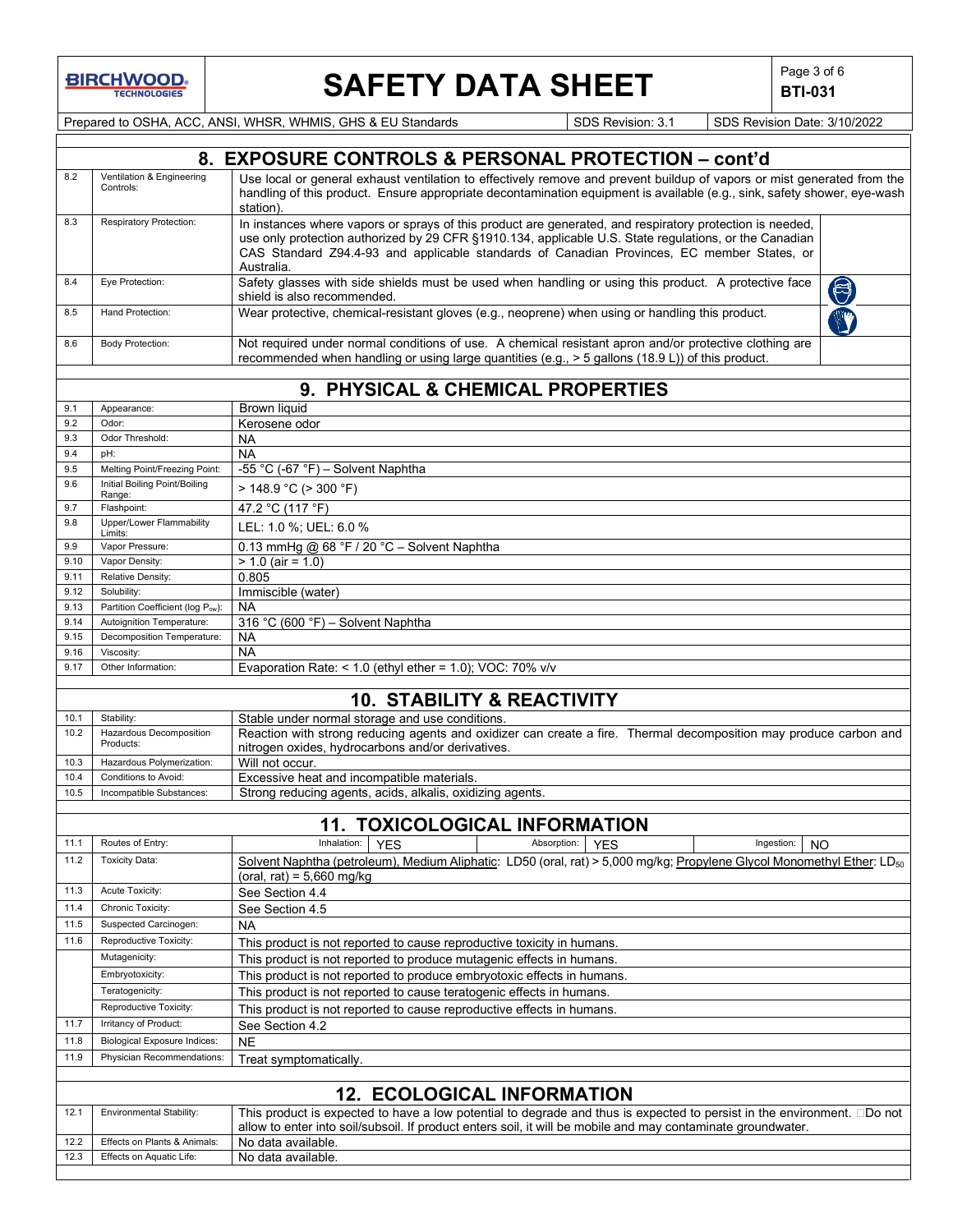

# **SAFETY DATA SHEET**  $\left|\begin{array}{c} \text{Page 3 of 6} \\ \text{BIT-031} \end{array}\right|$

**BTI-031**

Prepared to OSHA, ACC, ANSI, WHSR, WHMIS, GHS & EU Standards SDS Revision: 3.1 SDS Revision Date: 3/10/2022

|      |                                        | 8. EXPOSURE CONTROLS & PERSONAL PROTECTION - cont'd                                                                                                                                                                                                                                                                            |
|------|----------------------------------------|--------------------------------------------------------------------------------------------------------------------------------------------------------------------------------------------------------------------------------------------------------------------------------------------------------------------------------|
| 8.2  | Ventilation & Engineering<br>Controls: | Use local or general exhaust ventilation to effectively remove and prevent buildup of vapors or mist generated from the<br>handling of this product. Ensure appropriate decontamination equipment is available (e.g., sink, safety shower, eye-wash<br>station).                                                               |
| 8.3  | Respiratory Protection:                | In instances where vapors or sprays of this product are generated, and respiratory protection is needed,<br>use only protection authorized by 29 CFR §1910.134, applicable U.S. State regulations, or the Canadian<br>CAS Standard Z94.4-93 and applicable standards of Canadian Provinces, EC member States, or<br>Australia. |
| 8.4  | Eye Protection:                        | Safety glasses with side shields must be used when handling or using this product. A protective face<br>$\bigcirc$<br>shield is also recommended.                                                                                                                                                                              |
| 8.5  | Hand Protection:                       | Wear protective, chemical-resistant gloves (e.g., neoprene) when using or handling this product.                                                                                                                                                                                                                               |
| 8.6  | <b>Body Protection:</b>                | Not required under normal conditions of use. A chemical resistant apron and/or protective clothing are<br>recommended when handling or using large quantities (e.g., > 5 gallons (18.9 L)) of this product.                                                                                                                    |
|      |                                        | 9. PHYSICAL & CHEMICAL PROPERTIES                                                                                                                                                                                                                                                                                              |
| 9.1  | Appearance:                            | <b>Brown liquid</b>                                                                                                                                                                                                                                                                                                            |
| 9.2  | Odor:                                  | Kerosene odor                                                                                                                                                                                                                                                                                                                  |
| 9.3  | Odor Threshold:                        | <b>NA</b>                                                                                                                                                                                                                                                                                                                      |
| 9.4  | pH:                                    | <b>NA</b>                                                                                                                                                                                                                                                                                                                      |
| 9.5  | Melting Point/Freezing Point:          | -55 °C (-67 °F) - Solvent Naphtha                                                                                                                                                                                                                                                                                              |
| 9.6  | Initial Boiling Point/Boiling          | > 148.9 °C (> 300 °F)                                                                                                                                                                                                                                                                                                          |
|      | Range:                                 |                                                                                                                                                                                                                                                                                                                                |
| 9.7  | Flashpoint:                            | 47.2 °C (117 °F)                                                                                                                                                                                                                                                                                                               |
| 9.8  | Upper/Lower Flammability<br>Limits:    | LEL: 1.0 %; UEL: 6.0 %                                                                                                                                                                                                                                                                                                         |
| 9.9  | Vapor Pressure:                        | 0.13 mmHg @ $68 °F / 20 °C$ - Solvent Naphtha                                                                                                                                                                                                                                                                                  |
| 9.10 | Vapor Density:                         | $> 1.0$ (air = 1.0)                                                                                                                                                                                                                                                                                                            |
| 9.11 | Relative Density:                      | 0.805                                                                                                                                                                                                                                                                                                                          |
| 9.12 | Solubility:                            | Immiscible (water)                                                                                                                                                                                                                                                                                                             |
| 9.13 | Partition Coefficient (log Pow):       | <b>NA</b>                                                                                                                                                                                                                                                                                                                      |
| 9.14 | Autoignition Temperature:              | 316 °C (600 °F) - Solvent Naphtha                                                                                                                                                                                                                                                                                              |
| 9.15 | Decomposition Temperature:             | <b>NA</b>                                                                                                                                                                                                                                                                                                                      |
| 9.16 | Viscosity:                             | <b>NA</b>                                                                                                                                                                                                                                                                                                                      |
| 9.17 | Other Information:                     | Evaporation Rate: < $1.0$ (ethyl ether = $1.0$ ); VOC: 70% v/v                                                                                                                                                                                                                                                                 |
|      |                                        | <b>10. STABILITY &amp; REACTIVITY</b>                                                                                                                                                                                                                                                                                          |
| 10.1 | Stability:                             | Stable under normal storage and use conditions.                                                                                                                                                                                                                                                                                |
| 10.2 | Hazardous Decomposition                | Reaction with strong reducing agents and oxidizer can create a fire. Thermal decomposition may produce carbon and                                                                                                                                                                                                              |
|      | Products:                              | nitrogen oxides, hydrocarbons and/or derivatives                                                                                                                                                                                                                                                                               |
| 10.3 | Hazardous Polymerization:              | Will not occur.                                                                                                                                                                                                                                                                                                                |
| 10.4 | Conditions to Avoid:                   | Excessive heat and incompatible materials.                                                                                                                                                                                                                                                                                     |
| 10.5 | Incompatible Substances:               | Strong reducing agents, acids, alkalis, oxidizing agents.                                                                                                                                                                                                                                                                      |
|      |                                        | <b>11. TOXICOLOGICAL INFORMATION</b>                                                                                                                                                                                                                                                                                           |
| 11.1 | Routes of Entry:                       | Inhalation:<br>Absorption:<br>Ingestion:<br><b>YES</b><br><b>YES</b><br>NO                                                                                                                                                                                                                                                     |
| 11.2 | <b>Toxicity Data:</b>                  | Solvent Naphtha (petroleum), Medium Aliphatic: LD50 (oral, rat) > 5,000 mg/kg; Propylene Glycol Monomethyl Ether: LD <sub>50</sub><br>(oral, rat) = 5,660 mg/kg                                                                                                                                                                |
| 11.3 | Acute Toxicity:                        | See Section 4.4                                                                                                                                                                                                                                                                                                                |
| 11.4 | Chronic Toxicity:                      | See Section 4.5                                                                                                                                                                                                                                                                                                                |
| 11.5 | Suspected Carcinogen:                  | <b>NA</b>                                                                                                                                                                                                                                                                                                                      |
| 11.6 | Reproductive Toxicity:                 | This product is not reported to cause reproductive toxicity in humans.                                                                                                                                                                                                                                                         |
|      | Mutagenicity:                          | This product is not reported to produce mutagenic effects in humans.                                                                                                                                                                                                                                                           |
|      | Embryotoxicity:                        | This product is not reported to produce embryotoxic effects in humans.                                                                                                                                                                                                                                                         |
|      | Teratogenicity:                        | This product is not reported to cause teratogenic effects in humans.                                                                                                                                                                                                                                                           |
|      | Reproductive Toxicity:                 | This product is not reported to cause reproductive effects in humans.                                                                                                                                                                                                                                                          |
| 11.7 | Irritancy of Product:                  | See Section 4.2                                                                                                                                                                                                                                                                                                                |
| 11.8 | <b>Biological Exposure Indices:</b>    | <b>NE</b>                                                                                                                                                                                                                                                                                                                      |
| 11.9 | Physician Recommendations:             | Treat symptomatically.                                                                                                                                                                                                                                                                                                         |
|      |                                        |                                                                                                                                                                                                                                                                                                                                |
| 12.1 | Environmental Stability:               | <b>12. ECOLOGICAL INFORMATION</b><br>This product is expected to have a low potential to degrade and thus is expected to persist in the environment. 0Do not                                                                                                                                                                   |
|      |                                        | allow to enter into soil/subsoil. If product enters soil, it will be mobile and may contaminate groundwater.                                                                                                                                                                                                                   |
| 12.2 | Effects on Plants & Animals:           | No data available.                                                                                                                                                                                                                                                                                                             |
| 12.3 | Effects on Aquatic Life:               | No data available.                                                                                                                                                                                                                                                                                                             |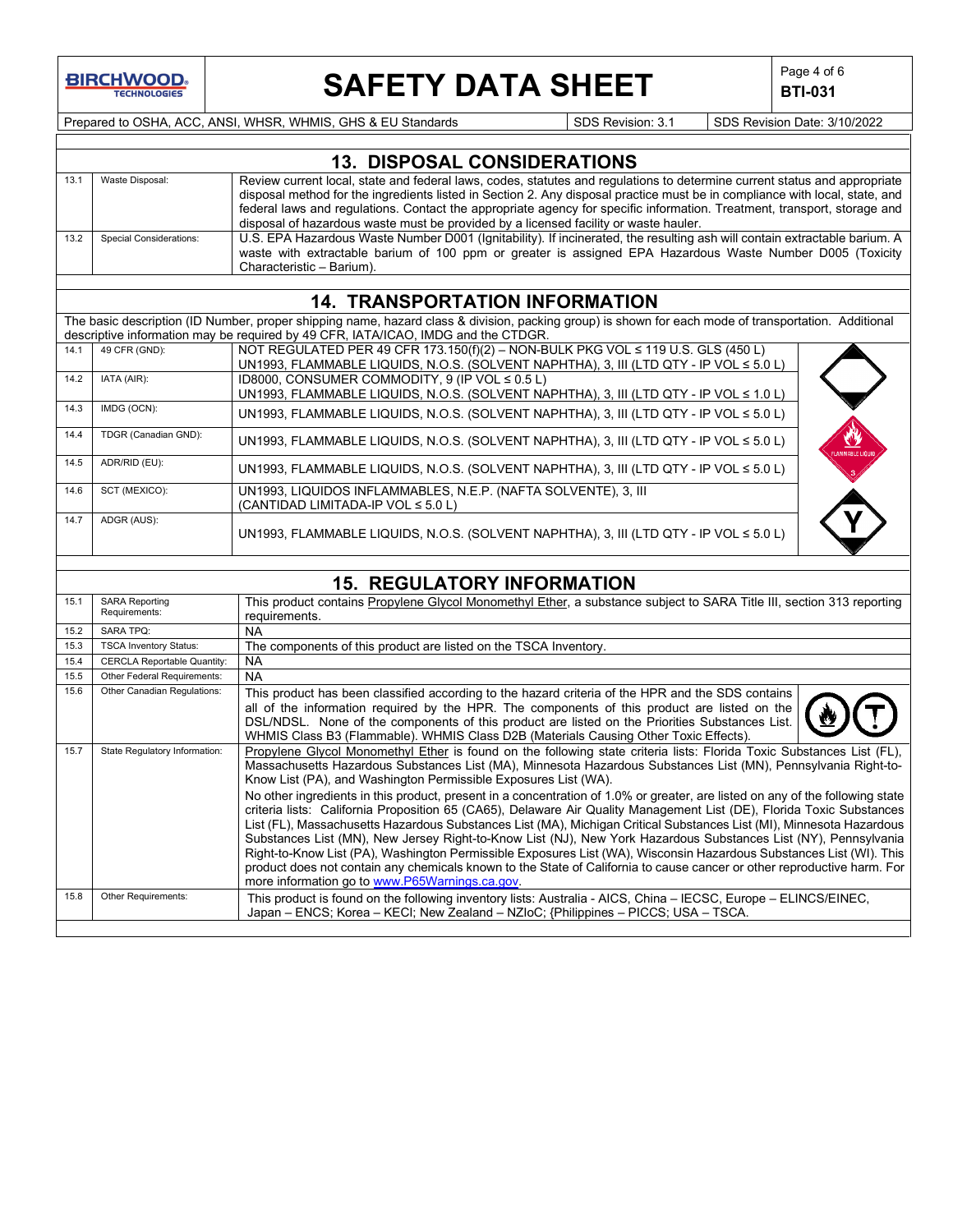

# **SAFETY DATA SHEET**  $\left|\begin{array}{c} \mathsf{Page 4 of 6} \\ \mathsf{BTI-031} \end{array}\right|$

**BTI-031**

Prepared to OSHA, ACC, ANSI, WHSR, WHMIS, GHS & EU Standards Superinted Superinted Superinted State: 3/10/2022

### **13. DISPOSAL CONSIDERATIONS** 13.1 Waste Disposal: Review current local, state and federal laws, codes, statutes and regulations to determine current status and appropriate disposal method for the ingredients listed in Section 2. Any disposal practice must be in compliance with local, state, and federal laws and regulations. Contact the appropriate agency for specific information. Treatment, transport, storage and disposal of hazardous waste must be provided by a licensed facility or waste hauler. 13.2 Special Considerations: U.S. EPA Hazardous Waste Number D001 (Ignitability). If incinerated, the resulting ash will contain extractable barium. A waste with extractable barium of 100 ppm or greater is assigned EPA Hazardous Waste Number D005 (Toxicity Characteristic – Barium).

### **14. TRANSPORTATION INFORMATION**

The basic description (ID Number, proper shipping name, hazard class & division, packing group) is shown for each mode of transportation. Additional descriptive information may be required by 49 CFR, IATA/ICAO, IMDG and the CTDGR.

| 14.1 | 49 CFR (GND):        | NOT REGULATED PER 49 CFR 173.150(f)(2) - NON-BULK PKG VOL $\leq$ 119 U.S. GLS (450 L)                                                    |                         |
|------|----------------------|------------------------------------------------------------------------------------------------------------------------------------------|-------------------------|
|      |                      | UN1993, FLAMMABLE LIQUIDS, N.O.S. (SOLVENT NAPHTHA), 3, III (LTD QTY - IP VOL ≤ 5.0 L)                                                   |                         |
| 14.2 | IATA (AIR):          | ID8000, CONSUMER COMMODITY, 9 (IP VOL ≤ 0.5 L)<br>UN1993, FLAMMABLE LIQUIDS, N.O.S. (SOLVENT NAPHTHA), 3, III (LTD QTY - IP VOL ≤ 1.0 L) |                         |
| 14.3 | IMDG (OCN):          | UN1993, FLAMMABLE LIQUIDS, N.O.S. (SOLVENT NAPHTHA), 3, III (LTD QTY - IP VOL ≤ 5.0 L)                                                   |                         |
| 14.4 | TDGR (Canadian GND): | UN1993, FLAMMABLE LIQUIDS, N.O.S. (SOLVENT NAPHTHA), 3, III (LTD QTY - IP VOL ≤ 5.0 L)                                                   | <b>FLAMMABLE LIQUID</b> |
| 14.5 | ADR/RID (EU):        | UN1993, FLAMMABLE LIQUIDS, N.O.S. (SOLVENT NAPHTHA), 3, III (LTD QTY - IP VOL ≤ 5.0 L)                                                   |                         |
| 14.6 | SCT (MEXICO):        | UN1993, LIQUIDOS INFLAMMABLES, N.E.P. (NAFTA SOLVENTE), 3, III<br>(CANTIDAD LIMITADA-IP VOL ≤ 5.0 L)                                     |                         |
| 14.7 | ADGR (AUS):          | UN1993, FLAMMABLE LIQUIDS, N.O.S. (SOLVENT NAPHTHA), 3, III (LTD QTY - IP VOL ≤ 5.0 L)                                                   |                         |



## **15. REGULATORY INFORMATION**

| 15.1 | <b>SARA Reporting</b><br>Requirements: | This product contains Propylene Glycol Monomethyl Ether, a substance subject to SARA Title III, section 313 reporting<br>requirements.                                                                                                                                                                                                                                                                                                                                                                                                                                                                                                                                                                                                                                                                                                                                                                                                                                                                                                                                                                              |
|------|----------------------------------------|---------------------------------------------------------------------------------------------------------------------------------------------------------------------------------------------------------------------------------------------------------------------------------------------------------------------------------------------------------------------------------------------------------------------------------------------------------------------------------------------------------------------------------------------------------------------------------------------------------------------------------------------------------------------------------------------------------------------------------------------------------------------------------------------------------------------------------------------------------------------------------------------------------------------------------------------------------------------------------------------------------------------------------------------------------------------------------------------------------------------|
| 15.2 | <b>SARA TPQ:</b>                       | <b>NA</b>                                                                                                                                                                                                                                                                                                                                                                                                                                                                                                                                                                                                                                                                                                                                                                                                                                                                                                                                                                                                                                                                                                           |
| 15.3 | <b>TSCA Inventory Status:</b>          | The components of this product are listed on the TSCA Inventory.                                                                                                                                                                                                                                                                                                                                                                                                                                                                                                                                                                                                                                                                                                                                                                                                                                                                                                                                                                                                                                                    |
| 15.4 | <b>CERCLA Reportable Quantity:</b>     | <b>NA</b>                                                                                                                                                                                                                                                                                                                                                                                                                                                                                                                                                                                                                                                                                                                                                                                                                                                                                                                                                                                                                                                                                                           |
| 15.5 | Other Federal Requirements:            | <b>NA</b>                                                                                                                                                                                                                                                                                                                                                                                                                                                                                                                                                                                                                                                                                                                                                                                                                                                                                                                                                                                                                                                                                                           |
| 15.6 | Other Canadian Regulations:            | This product has been classified according to the hazard criteria of the HPR and the SDS contains<br>all of the information required by the HPR. The components of this product are listed on the<br>DSL/NDSL. None of the components of this product are listed on the Priorities Substances List.<br>WHMIS Class B3 (Flammable). WHMIS Class D2B (Materials Causing Other Toxic Effects).                                                                                                                                                                                                                                                                                                                                                                                                                                                                                                                                                                                                                                                                                                                         |
| 15.7 | State Regulatory Information:          | Propylene Glycol Monomethyl Ether is found on the following state criteria lists: Florida Toxic Substances List (FL),<br>Massachusetts Hazardous Substances List (MA), Minnesota Hazardous Substances List (MN), Pennsylvania Right-to-<br>Know List (PA), and Washington Permissible Exposures List (WA).<br>No other ingredients in this product, present in a concentration of 1.0% or greater, are listed on any of the following state<br>criteria lists: California Proposition 65 (CA65), Delaware Air Quality Management List (DE), Florida Toxic Substances<br>List (FL), Massachusetts Hazardous Substances List (MA), Michigan Critical Substances List (MI), Minnesota Hazardous<br>Substances List (MN), New Jersey Right-to-Know List (NJ), New York Hazardous Substances List (NY), Pennsylvania<br>Right-to-Know List (PA), Washington Permissible Exposures List (WA), Wisconsin Hazardous Substances List (WI). This<br>product does not contain any chemicals known to the State of California to cause cancer or other reproductive harm. For<br>more information go to www.P65Warnings.ca.gov. |
| 15.8 | Other Requirements:                    | This product is found on the following inventory lists: Australia - AICS, China – IECSC, Europe – ELINCS/EINEC,<br>Japan - ENCS; Korea - KECI; New Zealand - NZIoC; {Philippines - PICCS; USA - TSCA.                                                                                                                                                                                                                                                                                                                                                                                                                                                                                                                                                                                                                                                                                                                                                                                                                                                                                                               |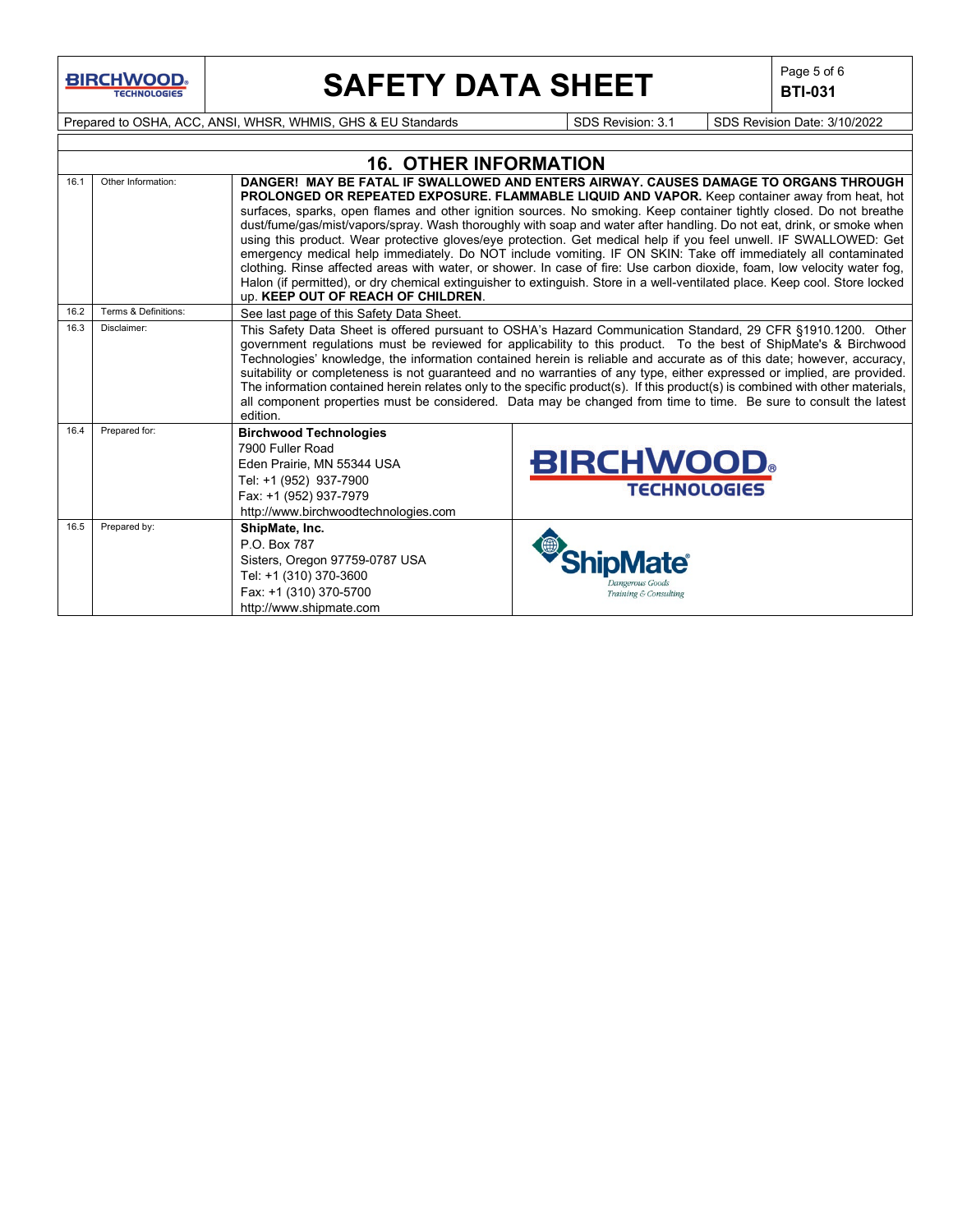**BIRCHWOOD** 

# **SAFETY DATA SHEET**  $\left|\begin{array}{c} \mathsf{Page 5 of 6} \\ \mathsf{BTL 031} \end{array}\right|$

**BTI-031**

Prepared to OSHA, ACC, ANSI, WHSR, WHMIS, GHS & EU Standards Superinted SDS Revision: 3.1 SDS Revision Date: 3/10/2022

|      | <b>16. OTHER INFORMATION</b> |                                                                                                                                                                             |                                                                                                                                                                                                                                                                                                                                                                                                                                                                                                                                                                                                                                                                                                                                                                                                                                                                                                                                          |  |  |  |  |
|------|------------------------------|-----------------------------------------------------------------------------------------------------------------------------------------------------------------------------|------------------------------------------------------------------------------------------------------------------------------------------------------------------------------------------------------------------------------------------------------------------------------------------------------------------------------------------------------------------------------------------------------------------------------------------------------------------------------------------------------------------------------------------------------------------------------------------------------------------------------------------------------------------------------------------------------------------------------------------------------------------------------------------------------------------------------------------------------------------------------------------------------------------------------------------|--|--|--|--|
| 16.1 | Other Information:           | <b>up. KEEP OUT OF REACH OF CHILDREN.</b>                                                                                                                                   | DANGER! MAY BE FATAL IF SWALLOWED AND ENTERS AIRWAY, CAUSES DAMAGE TO ORGANS THROUGH<br>PROLONGED OR REPEATED EXPOSURE. FLAMMABLE LIQUID AND VAPOR. Keep container away from heat, hot<br>surfaces, sparks, open flames and other ignition sources. No smoking. Keep container tightly closed. Do not breathe<br>dust/fume/gas/mist/vapors/spray. Wash thoroughly with soap and water after handling. Do not eat, drink, or smoke when<br>using this product. Wear protective gloves/eye protection. Get medical help if you feel unwell. IF SWALLOWED: Get<br>emergency medical help immediately. Do NOT include vomiting. IF ON SKIN: Take off immediately all contaminated<br>clothing. Rinse affected areas with water, or shower. In case of fire: Use carbon dioxide, foam, low velocity water fog,<br>Halon (if permitted), or dry chemical extinguisher to extinguish. Store in a well-ventilated place. Keep cool. Store locked |  |  |  |  |
| 16.2 | Terms & Definitions:         | See last page of this Safety Data Sheet.                                                                                                                                    |                                                                                                                                                                                                                                                                                                                                                                                                                                                                                                                                                                                                                                                                                                                                                                                                                                                                                                                                          |  |  |  |  |
| 16.3 | Disclaimer:                  | edition.                                                                                                                                                                    | This Safety Data Sheet is offered pursuant to OSHA's Hazard Communication Standard, 29 CFR §1910.1200. Other<br>government regulations must be reviewed for applicability to this product. To the best of ShipMate's & Birchwood<br>Technologies' knowledge, the information contained herein is reliable and accurate as of this date; however, accuracy,<br>suitability or completeness is not guaranteed and no warranties of any type, either expressed or implied, are provided.<br>The information contained herein relates only to the specific product(s). If this product(s) is combined with other materials,<br>all component properties must be considered. Data may be changed from time to time. Be sure to consult the latest                                                                                                                                                                                             |  |  |  |  |
| 16.4 | Prepared for:                | <b>Birchwood Technologies</b><br>7900 Fuller Road<br>Eden Prairie, MN 55344 USA<br>Tel: +1 (952) 937-7900<br>Fax: +1 (952) 937-7979<br>http://www.birchwoodtechnologies.com | <b>BIRCHWOOD</b><br><b>TECHNOLOGIES</b>                                                                                                                                                                                                                                                                                                                                                                                                                                                                                                                                                                                                                                                                                                                                                                                                                                                                                                  |  |  |  |  |
| 16.5 | Prepared by:                 | ShipMate, Inc.<br>P.O. Box 787<br>Sisters, Oregon 97759-0787 USA<br>Tel: +1 (310) 370-3600<br>Fax: +1 (310) 370-5700<br>http://www.shipmate.com                             | <b>Jangerous Goods</b><br>Training & Consulting                                                                                                                                                                                                                                                                                                                                                                                                                                                                                                                                                                                                                                                                                                                                                                                                                                                                                          |  |  |  |  |